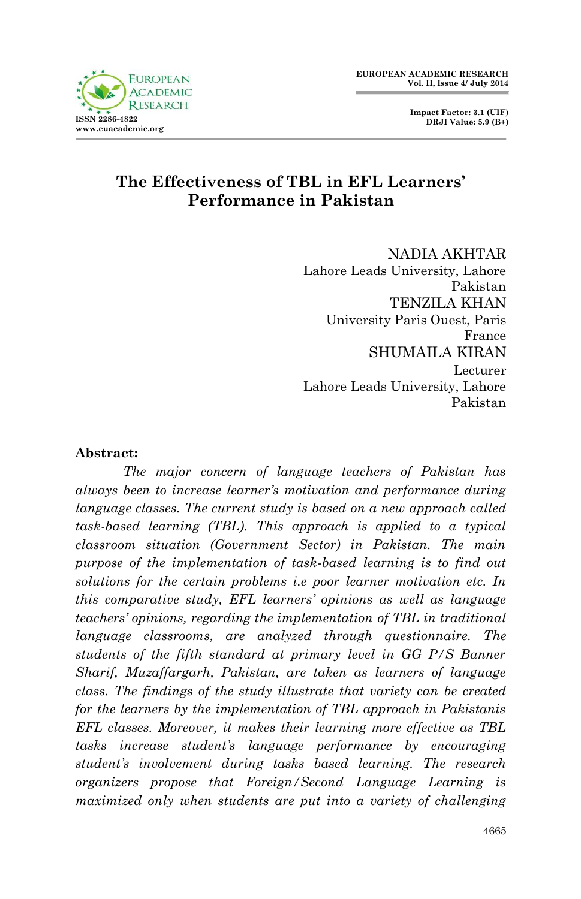



# **The Effectiveness of TBL in EFL Learners' Performance in Pakistan**

NADIA AKHTAR Lahore Leads University, Lahore Pakistan TENZILA KHAN University Paris Ouest, Paris France SHUMAILA KIRAN Lecturer Lahore Leads University, Lahore Pakistan

#### **Abstract:**

*The major concern of language teachers of Pakistan has always been to increase learner's motivation and performance during language classes. The current study is based on a new approach called task-based learning (TBL). This approach is applied to a typical classroom situation (Government Sector) in Pakistan. The main purpose of the implementation of task-based learning is to find out solutions for the certain problems i.e poor learner motivation etc. In this comparative study, EFL learners' opinions as well as language teachers' opinions, regarding the implementation of TBL in traditional language classrooms, are analyzed through questionnaire. The students of the fifth standard at primary level in GG P/S Banner Sharif, Muzaffargarh, Pakistan, are taken as learners of language class. The findings of the study illustrate that variety can be created for the learners by the implementation of TBL approach in Pakistanis EFL classes. Moreover, it makes their learning more effective as TBL tasks increase student's language performance by encouraging student's involvement during tasks based learning. The research organizers propose that Foreign/Second Language Learning is maximized only when students are put into a variety of challenging*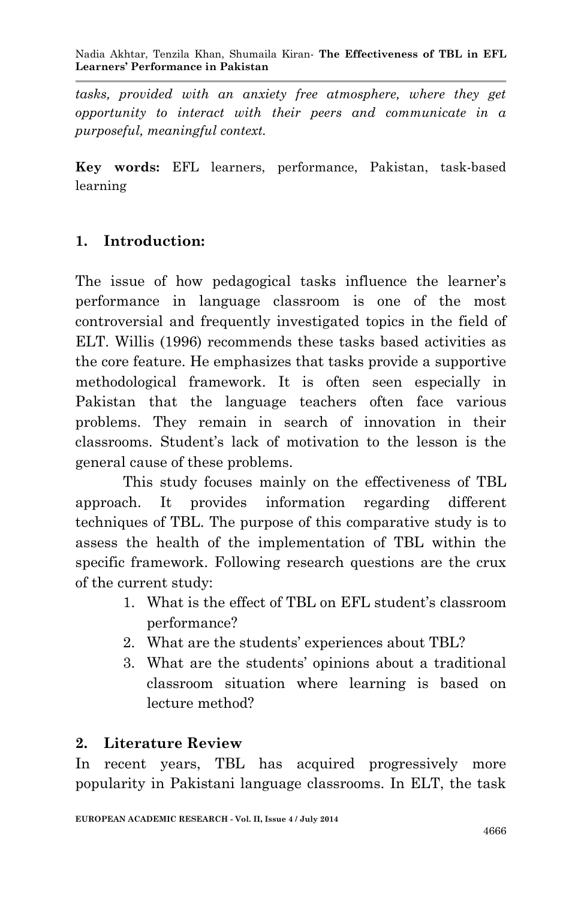*tasks, provided with an anxiety free atmosphere, where they get opportunity to interact with their peers and communicate in a purposeful, meaningful context.*

**Key words:** EFL learners, performance, Pakistan, task-based learning

# **1. Introduction:**

The issue of how pedagogical tasks influence the learner's performance in language classroom is one of the most controversial and frequently investigated topics in the field of ELT. Willis (1996) recommends these tasks based activities as the core feature. He emphasizes that tasks provide a supportive methodological framework. It is often seen especially in Pakistan that the language teachers often face various problems. They remain in search of innovation in their classrooms. Student's lack of motivation to the lesson is the general cause of these problems.

This study focuses mainly on the effectiveness of TBL approach. It provides information regarding different techniques of TBL. The purpose of this comparative study is to assess the health of the implementation of TBL within the specific framework. Following research questions are the crux of the current study:

- 1. What is the effect of TBL on EFL student's classroom performance?
- 2. What are the students' experiences about TBL?
- 3. What are the students' opinions about a traditional classroom situation where learning is based on lecture method?

# **2. Literature Review**

In recent years, TBL has acquired progressively more popularity in Pakistani language classrooms. In ELT, the task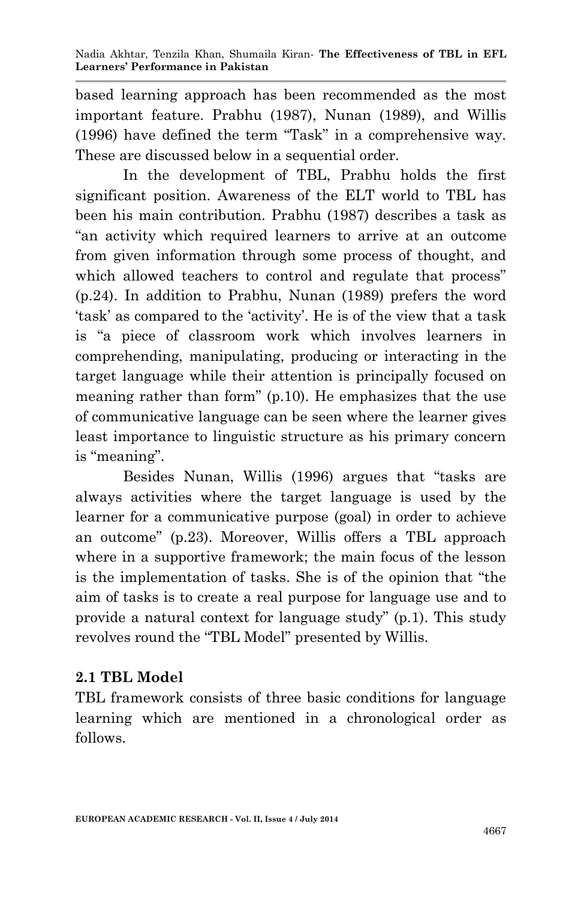based learning approach has been recommended as the most important feature. Prabhu (1987), Nunan (1989), and Willis (1996) have defined the term "Task" in a comprehensive way. These are discussed below in a sequential order.

In the development of TBL, Prabhu holds the first significant position. Awareness of the ELT world to TBL has been his main contribution. Prabhu (1987) describes a task as "an activity which required learners to arrive at an outcome from given information through some process of thought, and which allowed teachers to control and regulate that process" (p.24). In addition to Prabhu, Nunan (1989) prefers the word 'task' as compared to the 'activity'. He is of the view that a task is "a piece of classroom work which involves learners in comprehending, manipulating, producing or interacting in the target language while their attention is principally focused on meaning rather than form" (p.10). He emphasizes that the use of communicative language can be seen where the learner gives least importance to linguistic structure as his primary concern is "meaning".

Besides Nunan, Willis (1996) argues that "tasks are always activities where the target language is used by the learner for a communicative purpose (goal) in order to achieve an outcome" (p.23). Moreover, Willis offers a TBL approach where in a supportive framework; the main focus of the lesson is the implementation of tasks. She is of the opinion that "the aim of tasks is to create a real purpose for language use and to provide a natural context for language study" (p.1). This study revolves round the "TBL Model" presented by Willis.

# **2.1 TBL Model**

TBL framework consists of three basic conditions for language learning which are mentioned in a chronological order as follows.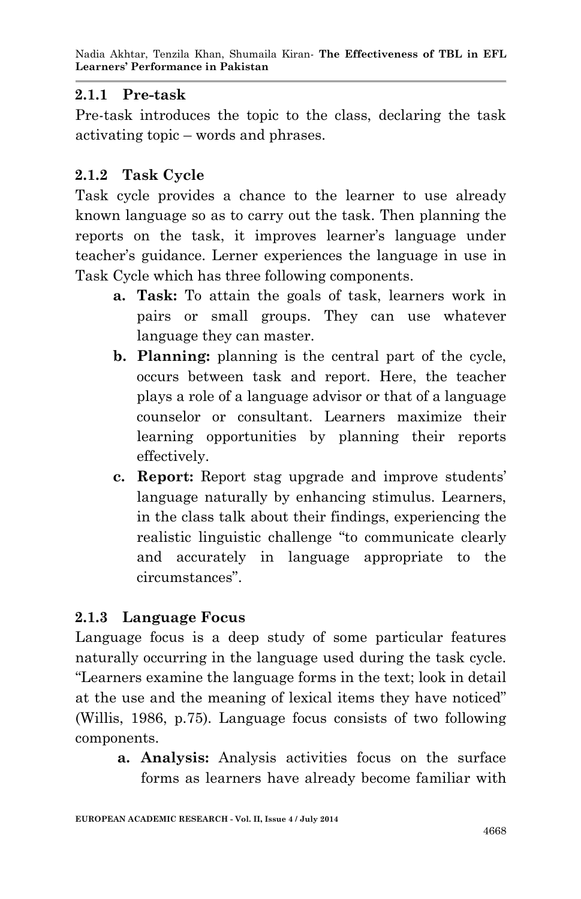### **2.1.1 Pre-task**

Pre-task introduces the topic to the class, declaring the task activating topic – words and phrases.

# **2.1.2 Task Cycle**

Task cycle provides a chance to the learner to use already known language so as to carry out the task. Then planning the reports on the task, it improves learner's language under teacher's guidance. Lerner experiences the language in use in Task Cycle which has three following components.

- **a. Task:** To attain the goals of task, learners work in pairs or small groups. They can use whatever language they can master.
- **b. Planning:** planning is the central part of the cycle, occurs between task and report. Here, the teacher plays a role of a language advisor or that of a language counselor or consultant. Learners maximize their learning opportunities by planning their reports effectively.
- **c. Report:** Report stag upgrade and improve students' language naturally by enhancing stimulus. Learners, in the class talk about their findings, experiencing the realistic linguistic challenge "to communicate clearly and accurately in language appropriate to the circumstances".

# **2.1.3 Language Focus**

Language focus is a deep study of some particular features naturally occurring in the language used during the task cycle. "Learners examine the language forms in the text; look in detail at the use and the meaning of lexical items they have noticed" (Willis, 1986, p.75). Language focus consists of two following components.

**a. Analysis:** Analysis activities focus on the surface forms as learners have already become familiar with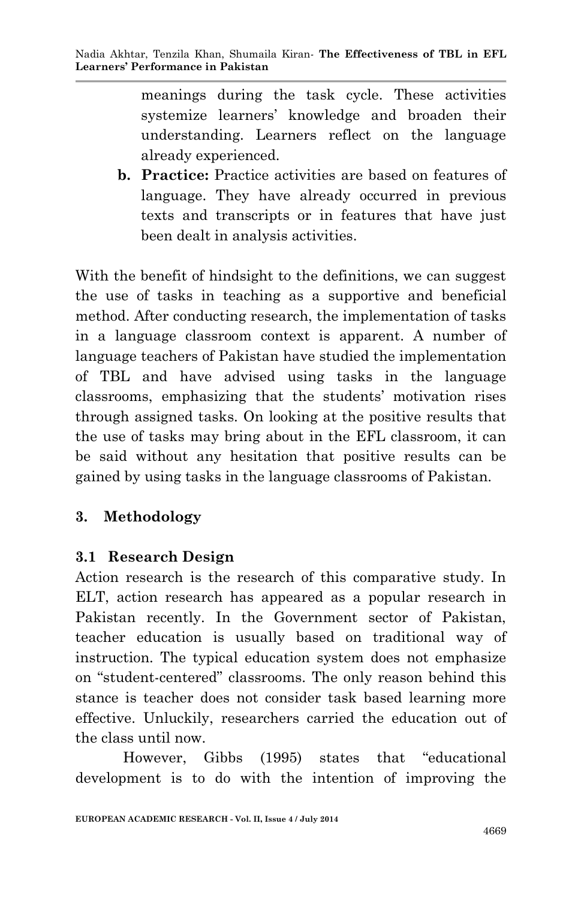meanings during the task cycle. These activities systemize learners' knowledge and broaden their understanding. Learners reflect on the language already experienced.

**b. Practice:** Practice activities are based on features of language. They have already occurred in previous texts and transcripts or in features that have just been dealt in analysis activities.

With the benefit of hindsight to the definitions, we can suggest the use of tasks in teaching as a supportive and beneficial method. After conducting research, the implementation of tasks in a language classroom context is apparent. A number of language teachers of Pakistan have studied the implementation of TBL and have advised using tasks in the language classrooms, emphasizing that the students' motivation rises through assigned tasks. On looking at the positive results that the use of tasks may bring about in the EFL classroom, it can be said without any hesitation that positive results can be gained by using tasks in the language classrooms of Pakistan.

#### **3. Methodology**

#### **3.1 Research Design**

Action research is the research of this comparative study. In ELT, action research has appeared as a popular research in Pakistan recently. In the Government sector of Pakistan, teacher education is usually based on traditional way of instruction. The typical education system does not emphasize on "student-centered" classrooms. The only reason behind this stance is teacher does not consider task based learning more effective. Unluckily, researchers carried the education out of the class until now.

However, Gibbs (1995) states that "educational development is to do with the intention of improving the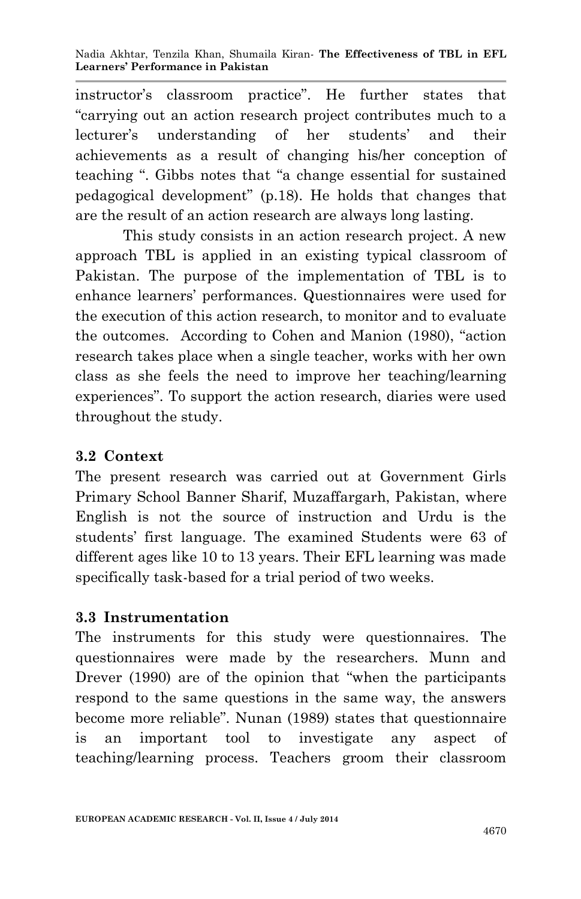instructor's classroom practice". He further states that "carrying out an action research project contributes much to a lecturer's understanding of her students' and their achievements as a result of changing his/her conception of teaching ". Gibbs notes that "a change essential for sustained pedagogical development" (p.18). He holds that changes that are the result of an action research are always long lasting.

This study consists in an action research project. A new approach TBL is applied in an existing typical classroom of Pakistan. The purpose of the implementation of TBL is to enhance learners' performances. Questionnaires were used for the execution of this action research, to monitor and to evaluate the outcomes. According to Cohen and Manion (1980), "action research takes place when a single teacher, works with her own class as she feels the need to improve her teaching/learning experiences". To support the action research, diaries were used throughout the study.

#### **3.2 Context**

The present research was carried out at Government Girls Primary School Banner Sharif, Muzaffargarh, Pakistan, where English is not the source of instruction and Urdu is the students' first language. The examined Students were 63 of different ages like 10 to 13 years. Their EFL learning was made specifically task-based for a trial period of two weeks.

#### **3.3 Instrumentation**

The instruments for this study were questionnaires. The questionnaires were made by the researchers. Munn and Drever (1990) are of the opinion that "when the participants respond to the same questions in the same way, the answers become more reliable". Nunan (1989) states that questionnaire is an important tool to investigate any aspect of teaching/learning process. Teachers groom their classroom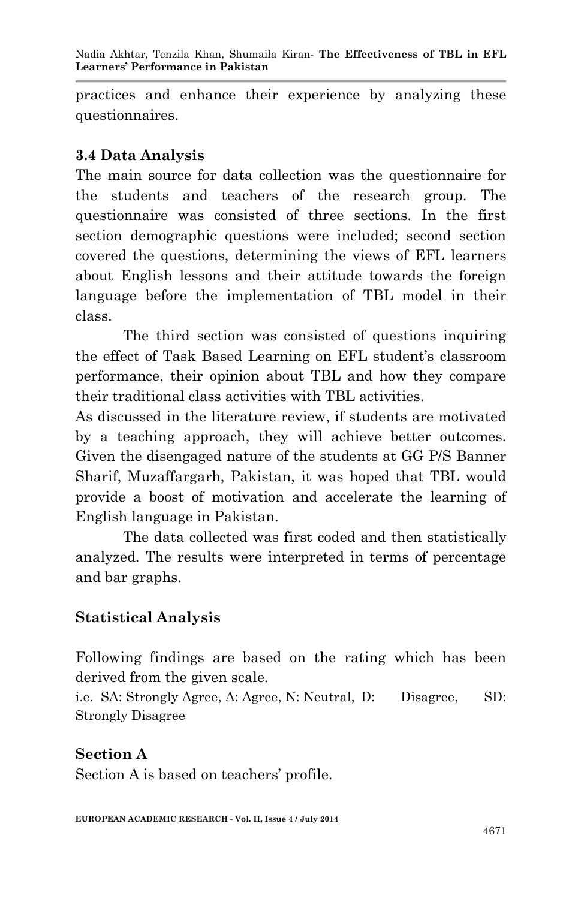practices and enhance their experience by analyzing these questionnaires.

# **3.4 Data Analysis**

The main source for data collection was the questionnaire for the students and teachers of the research group. The questionnaire was consisted of three sections. In the first section demographic questions were included; second section covered the questions, determining the views of EFL learners about English lessons and their attitude towards the foreign language before the implementation of TBL model in their class.

The third section was consisted of questions inquiring the effect of Task Based Learning on EFL student's classroom performance, their opinion about TBL and how they compare their traditional class activities with TBL activities.

As discussed in the literature review, if students are motivated by a teaching approach, they will achieve better outcomes. Given the disengaged nature of the students at GG P/S Banner Sharif, Muzaffargarh, Pakistan, it was hoped that TBL would provide a boost of motivation and accelerate the learning of English language in Pakistan.

The data collected was first coded and then statistically analyzed. The results were interpreted in terms of percentage and bar graphs.

# **Statistical Analysis**

Following findings are based on the rating which has been derived from the given scale.

i.e. SA: Strongly Agree, A: Agree, N: Neutral, D: Disagree, SD: Strongly Disagree

# **Section A**

Section A is based on teachers' profile.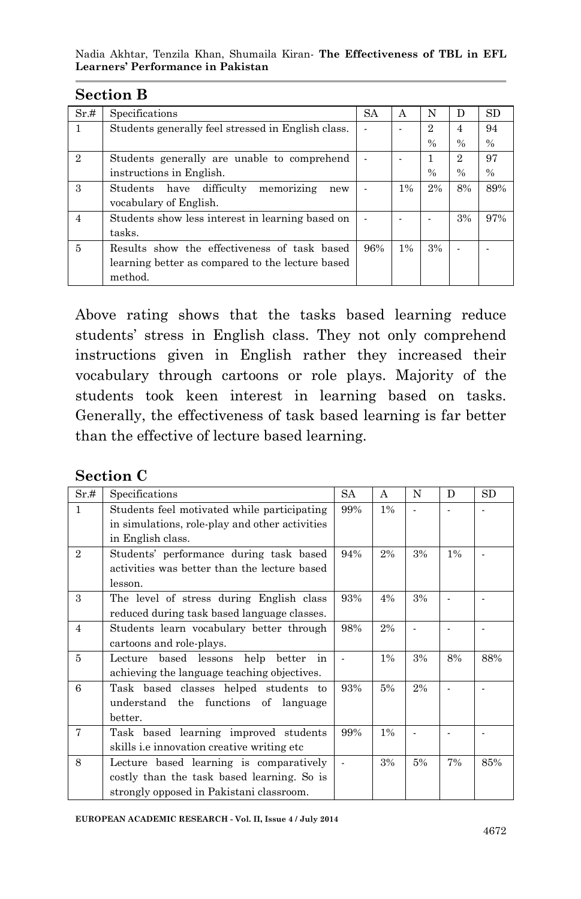| ~~~~~~         |                                                    |     |    |                |               |               |
|----------------|----------------------------------------------------|-----|----|----------------|---------------|---------------|
| Sr.#           | Specifications                                     | SA  | A  | N              | D             | <b>SD</b>     |
| 1              | Students generally feel stressed in English class. |     |    | $\overline{2}$ | 4             | 94            |
|                |                                                    |     |    | $\frac{0}{0}$  | $\frac{0}{0}$ | $\frac{0}{0}$ |
| $\mathfrak{D}$ | Students generally are unable to comprehend        |     |    |                | 2             | 97            |
|                | instructions in English.                           |     |    | $\%$           | $\%$          | $\frac{0}{0}$ |
| 3              | memorizing<br>difficulty<br>Students have<br>new   |     | 1% | 2%             | 8%            | 89%           |
|                | vocabulary of English.                             |     |    |                |               |               |
| $\overline{4}$ | Students show less interest in learning based on   |     |    |                | 3%            | 97%           |
|                | tasks.                                             |     |    |                |               |               |
| 5              | Results show the effectiveness of task based       | 96% | 1% | 3%             |               |               |
|                | learning better as compared to the lecture based   |     |    |                |               |               |
|                | method.                                            |     |    |                |               |               |

#### **Section B**

Above rating shows that the tasks based learning reduce students' stress in English class. They not only comprehend instructions given in English rather they increased their vocabulary through cartoons or role plays. Majority of the students took keen interest in learning based on tasks. Generally, the effectiveness of task based learning is far better than the effective of lecture based learning.

| <b>Section C</b> |  |
|------------------|--|
|------------------|--|

| Sr.#           | Specifications                                                                                                                    | SA  | A     | N  | D     | SD  |
|----------------|-----------------------------------------------------------------------------------------------------------------------------------|-----|-------|----|-------|-----|
| $\mathbf{1}$   | Students feel motivated while participating<br>in simulations, role-play and other activities<br>in English class.                | 99% | 1%    |    |       |     |
| $\overline{2}$ | Students' performance during task based<br>activities was better than the lecture based<br>lesson.                                | 94% | 2%    | 3% | $1\%$ |     |
| 3              | The level of stress during English class<br>reduced during task based language classes.                                           | 93% | 4%    | 3% |       |     |
| $\overline{4}$ | Students learn vocabulary better through<br>cartoons and role-plays.                                                              | 98% | 2%    |    |       |     |
| 5              | based lessons<br>help<br>better<br>Lecture<br>in<br>achieving the language teaching objectives.                                   |     | $1\%$ | 3% | 8%    | 88% |
| 6              | Task based classes helped students to<br>understand the functions of language<br>better.                                          | 93% | 5%    | 2% |       |     |
| $\overline{7}$ | Task based learning improved students<br>skills <i>i.e innovation</i> creative writing etc.                                       | 99% | 1%    |    |       |     |
| 8              | Lecture based learning is comparatively<br>costly than the task based learning. So is<br>strongly opposed in Pakistani classroom. |     | 3%    | 5% | 7%    | 85% |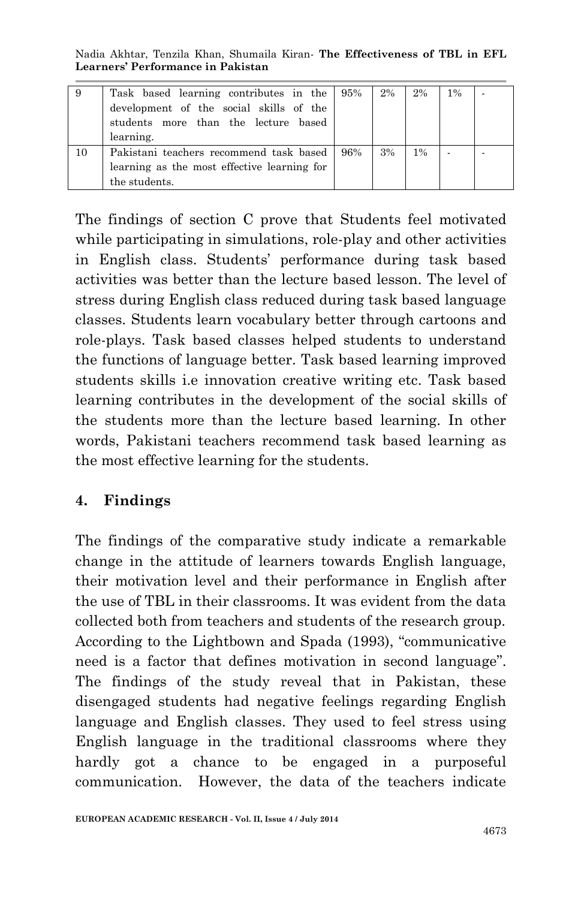Nadia Akhtar, Tenzila Khan, Shumaila Kiran*-* **The Effectiveness of TBL in EFL Learners' Performance in Pakistan**

|    | Task based learning contributes in the 95%<br>development of the social skills of the<br>students more than the lecture based<br>learning. |     | 2% | 2%    | $1\%$ |  |
|----|--------------------------------------------------------------------------------------------------------------------------------------------|-----|----|-------|-------|--|
| 10 | Pakistani teachers recommend task based<br>learning as the most effective learning for<br>the students.                                    | 96% | 3% | $1\%$ |       |  |

The findings of section C prove that Students feel motivated while participating in simulations, role-play and other activities in English class. Students' performance during task based activities was better than the lecture based lesson. The level of stress during English class reduced during task based language classes. Students learn vocabulary better through cartoons and role-plays. Task based classes helped students to understand the functions of language better. Task based learning improved students skills i.e innovation creative writing etc. Task based learning contributes in the development of the social skills of the students more than the lecture based learning. In other words, Pakistani teachers recommend task based learning as the most effective learning for the students.

#### **4. Findings**

The findings of the comparative study indicate a remarkable change in the attitude of learners towards English language, their motivation level and their performance in English after the use of TBL in their classrooms. It was evident from the data collected both from teachers and students of the research group. According to the Lightbown and Spada (1993), "communicative need is a factor that defines motivation in second language". The findings of the study reveal that in Pakistan, these disengaged students had negative feelings regarding English language and English classes. They used to feel stress using English language in the traditional classrooms where they hardly got a chance to be engaged in a purposeful communication. However, the data of the teachers indicate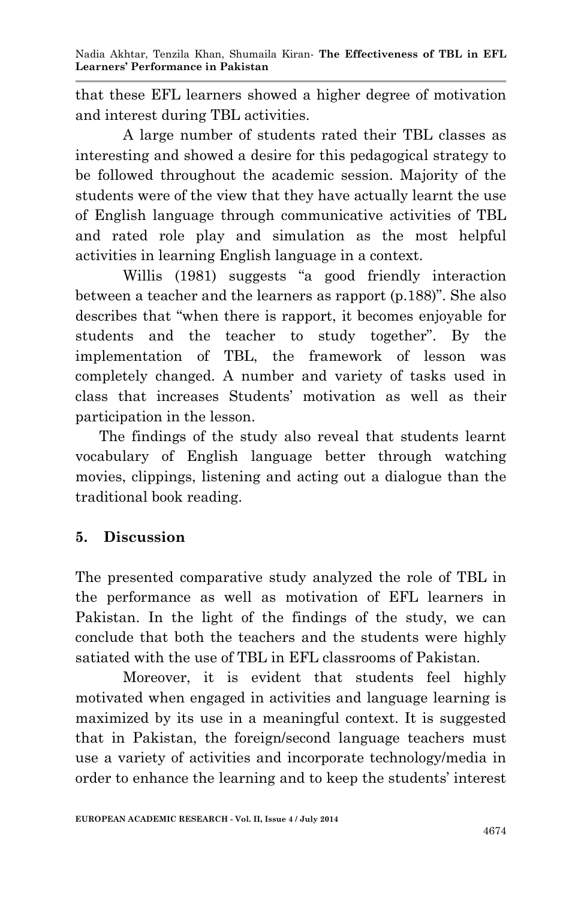that these EFL learners showed a higher degree of motivation and interest during TBL activities.

A large number of students rated their TBL classes as interesting and showed a desire for this pedagogical strategy to be followed throughout the academic session. Majority of the students were of the view that they have actually learnt the use of English language through communicative activities of TBL and rated role play and simulation as the most helpful activities in learning English language in a context.

Willis (1981) suggests "a good friendly interaction between a teacher and the learners as rapport (p.188)". She also describes that "when there is rapport, it becomes enjoyable for students and the teacher to study together". By the implementation of TBL, the framework of lesson was completely changed. A number and variety of tasks used in class that increases Students' motivation as well as their participation in the lesson.

The findings of the study also reveal that students learnt vocabulary of English language better through watching movies, clippings, listening and acting out a dialogue than the traditional book reading.

# **5. Discussion**

The presented comparative study analyzed the role of TBL in the performance as well as motivation of EFL learners in Pakistan. In the light of the findings of the study, we can conclude that both the teachers and the students were highly satiated with the use of TBL in EFL classrooms of Pakistan.

Moreover, it is evident that students feel highly motivated when engaged in activities and language learning is maximized by its use in a meaningful context. It is suggested that in Pakistan, the foreign/second language teachers must use a variety of activities and incorporate technology/media in order to enhance the learning and to keep the students' interest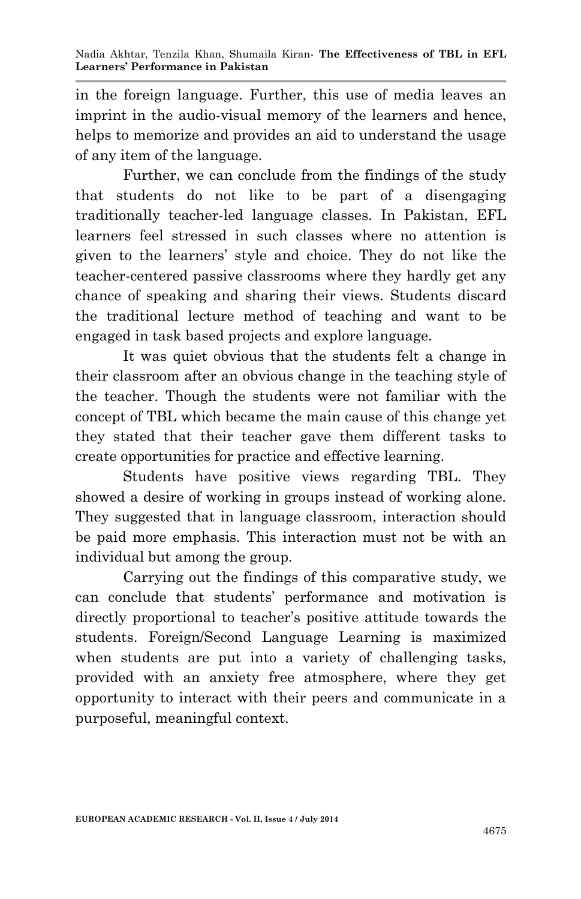in the foreign language. Further, this use of media leaves an imprint in the audio-visual memory of the learners and hence, helps to memorize and provides an aid to understand the usage of any item of the language.

Further, we can conclude from the findings of the study that students do not like to be part of a disengaging traditionally teacher-led language classes. In Pakistan, EFL learners feel stressed in such classes where no attention is given to the learners' style and choice. They do not like the teacher-centered passive classrooms where they hardly get any chance of speaking and sharing their views. Students discard the traditional lecture method of teaching and want to be engaged in task based projects and explore language.

It was quiet obvious that the students felt a change in their classroom after an obvious change in the teaching style of the teacher. Though the students were not familiar with the concept of TBL which became the main cause of this change yet they stated that their teacher gave them different tasks to create opportunities for practice and effective learning.

Students have positive views regarding TBL. They showed a desire of working in groups instead of working alone. They suggested that in language classroom, interaction should be paid more emphasis. This interaction must not be with an individual but among the group.

Carrying out the findings of this comparative study, we can conclude that students' performance and motivation is directly proportional to teacher's positive attitude towards the students. Foreign/Second Language Learning is maximized when students are put into a variety of challenging tasks, provided with an anxiety free atmosphere, where they get opportunity to interact with their peers and communicate in a purposeful, meaningful context.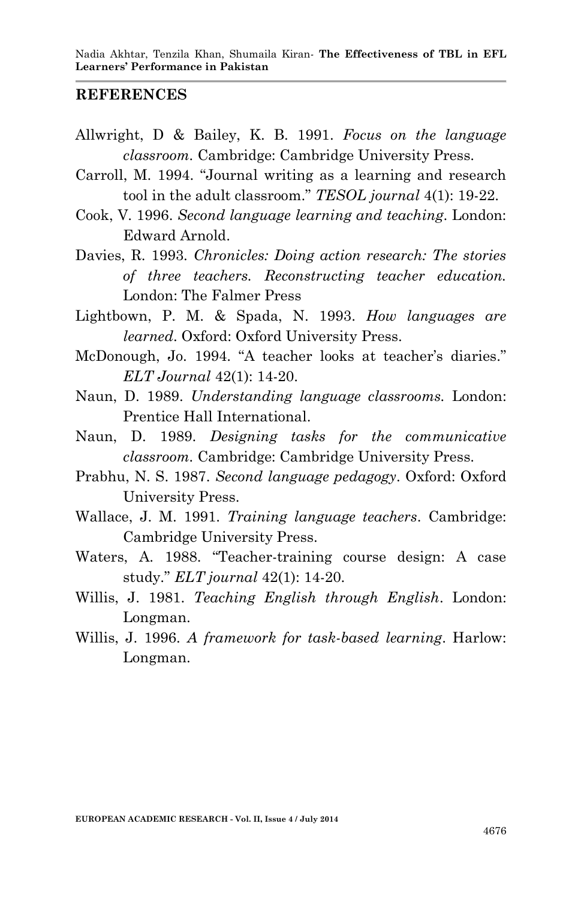#### **REFERENCES**

- Allwright, D & Bailey, K. B. 1991. *Focus on the language classroom.* Cambridge: Cambridge University Press.
- Carroll, M. 1994. "Journal writing as a learning and research tool in the adult classroom." *TESOL journal* 4(1): 19-22.
- Cook, V. 1996. *Second language learning and teaching*. London: Edward Arnold.
- Davies, R. 1993. *Chronicles: Doing action research: The stories of three teachers. Reconstructing teacher education.*  London: The Falmer Press
- Lightbown, P. M. & Spada, N. 1993. *How languages are learned*. Oxford: Oxford University Press.
- McDonough, Jo. 1994. "A teacher looks at teacher's diaries." *ELT Journal* 42(1): 14-20.
- Naun, D. 1989. *Understanding language classrooms.* London: Prentice Hall International.
- Naun, D. 1989. *Designing tasks for the communicative classroom.* Cambridge: Cambridge University Press.
- Prabhu, N. S. 1987. *Second language pedagogy*. Oxford: Oxford University Press.
- Wallace, J. M. 1991. *Training language teachers*. Cambridge: Cambridge University Press.
- Waters, A. 1988. "Teacher-training course design: A case study." *ELT journal* 42(1): 14-20.
- Willis, J. 1981. *Teaching English through English*. London: Longman.
- Willis, J. 1996. *A framework for task-based learning*. Harlow: Longman.